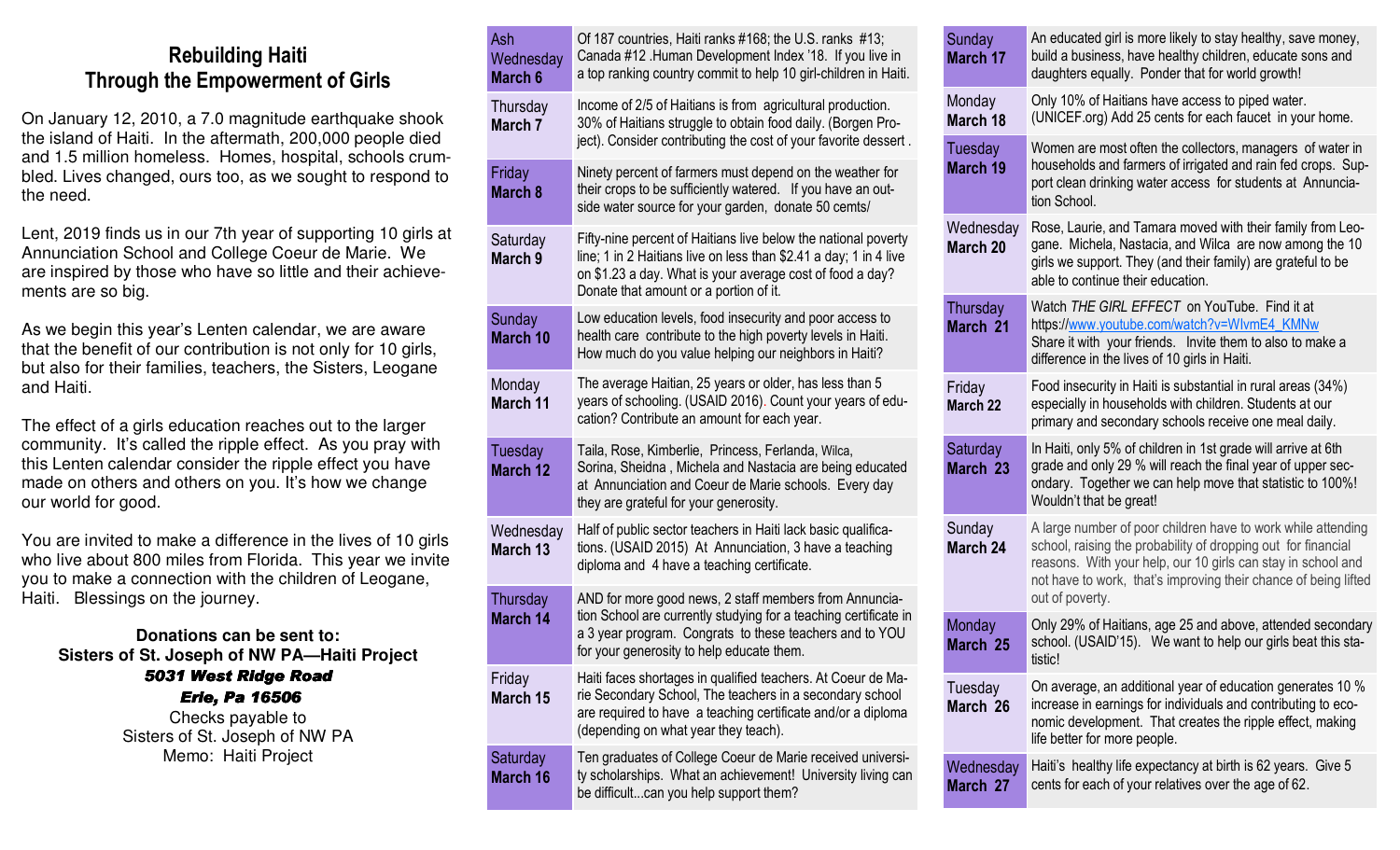## **Rebuilding Haiti Through the Empowerment of Girls**

On January 12, 2010, a 7.0 magnitude earthquake shook the island of Haiti. In the aftermath, 200,000 people died and 1.5 million homeless. Homes, hospital, schools crumbled. Lives changed, ours too, as we sought to respond to the need.

Lent, 2019 finds us in our 7th year of supporting 10 girls at Annunciation School and College Coeur de Marie. We are inspired by those who have so little and their achievements are so big.

As we begin this year's Lenten calendar, we are aware that the benefit of our contribution is not only for 10 girls, but also for their families, teachers, the Sisters, Leogane and Haiti.

The effect of a girls education reaches out to the larger community. It's called the ripple effect. As you pray with this Lenten calendar consider the ripple effect you have made on others and others on you. It's how we change our world for good.

You are invited to make a difference in the lives of 10 girls who live about 800 miles from Florida. This year we invite you to make a connection with the children of Leogane, Haiti. Blessings on the journey.

**Donations can be sent to: Sisters of St. Joseph of NW PA—Haiti Project** *5031 West Ridge Road 5031 West Ridge Road Erie, Pa 16506 Erie, Pa 16506 <sup>16506</sup>* Checks payable to Sisters of St. Joseph of NW PA

Memo: Haiti Project

|  | Ash<br>Wednesday<br>March 6 | Of 187 countries, Haiti ranks #168; the U.S. ranks #13;<br>Canada #12 .Human Development Index '18. If you live in<br>a top ranking country commit to help 10 girl-children in Haiti.                                                      | $\mathsf{S}\mathsf{L}$<br>M |
|--|-----------------------------|--------------------------------------------------------------------------------------------------------------------------------------------------------------------------------------------------------------------------------------------|-----------------------------|
|  | Thursday<br>March 7         | Income of 2/5 of Haitians is from agricultural production.<br>30% of Haitians struggle to obtain food daily. (Borgen Pro-<br>ject). Consider contributing the cost of your favorite dessert.                                               | M<br>M<br>Tι                |
|  | Friday<br>March 8           | Ninety percent of farmers must depend on the weather for<br>their crops to be sufficiently watered. If you have an out-<br>side water source for your garden, donate 50 cemts/                                                             | M                           |
|  | Saturday<br>March 9         | Fifty-nine percent of Haitians live below the national poverty<br>line; 1 in 2 Haitians live on less than \$2.41 a day; 1 in 4 live<br>on \$1.23 a day. What is your average cost of food a day?<br>Donate that amount or a portion of it. | W<br>M                      |
|  | Sunday<br>March 10          | Low education levels, food insecurity and poor access to<br>health care contribute to the high poverty levels in Haiti.<br>How much do you value helping our neighbors in Haiti?                                                           | Th<br>M                     |
|  | Monday<br><b>March 11</b>   | The average Haitian, 25 years or older, has less than 5<br>years of schooling. (USAID 2016). Count your years of edu-<br>cation? Contribute an amount for each year.                                                                       | Fr<br>M                     |
|  | Tuesday<br><b>March 12</b>  | Taila, Rose, Kimberlie, Princess, Ferlanda, Wilca,<br>Sorina, Sheidna, Michela and Nastacia are being educated<br>at Annunciation and Coeur de Marie schools. Every day<br>they are grateful for your generosity.                          | $S\epsilon$<br>M            |
|  | Wednesday<br>March 13       | Half of public sector teachers in Haiti lack basic qualifica-<br>tions. (USAID 2015) At Annunciation, 3 have a teaching<br>diploma and 4 have a teaching certificate.                                                                      | $\mathsf{S}$<br>M           |
|  | Thursday<br>March 14        | AND for more good news, 2 staff members from Annuncia-<br>tion School are currently studying for a teaching certificate in<br>a 3 year program. Congrats to these teachers and to YOU<br>for your generosity to help educate them.         | M<br>M                      |
|  | Friday<br>March 15          | Haiti faces shortages in qualified teachers. At Coeur de Ma-<br>rie Secondary School, The teachers in a secondary school<br>are required to have a teaching certificate and/or a diploma<br>(depending on what year they teach).           | Tι<br>M                     |
|  | Saturday<br>March 16        | Ten graduates of College Coeur de Marie received universi-<br>ty scholarships. What an achievement! University living can<br>be difficultcan you help support them?                                                                        | W<br>M                      |

| Sunday<br>March 17         | An educated girl is more likely to stay healthy, save money,<br>build a business, have healthy children, educate sons and<br>daughters equally. Ponder that for world growth!                                                                                                       |
|----------------------------|-------------------------------------------------------------------------------------------------------------------------------------------------------------------------------------------------------------------------------------------------------------------------------------|
| Monday<br>March 18         | Only 10% of Haitians have access to piped water.<br>(UNICEF.org) Add 25 cents for each faucet in your home.                                                                                                                                                                         |
| <b>Tuesday</b><br>March 19 | Women are most often the collectors, managers of water in<br>households and farmers of irrigated and rain fed crops. Sup-<br>port clean drinking water access for students at Annuncia-<br>tion School.                                                                             |
| Wednesday<br>March 20      | Rose, Laurie, and Tamara moved with their family from Leo-<br>gane. Michela, Nastacia, and Wilca are now among the 10<br>girls we support. They (and their family) are grateful to be<br>able to continue their education.                                                          |
| Thursday<br>March 21       | Watch THE GIRL EFFECT on YouTube. Find it at<br>https://www.youtube.com/watch?v=WlvmE4_KMNw<br>Share it with your friends. Invite them to also to make a<br>difference in the lives of 10 girls in Haiti.                                                                           |
| Friday<br>March 22         | Food insecurity in Haiti is substantial in rural areas (34%)<br>especially in households with children. Students at our<br>primary and secondary schools receive one meal daily.                                                                                                    |
| Saturday<br>March 23       | In Haiti, only 5% of children in 1st grade will arrive at 6th<br>grade and only 29 % will reach the final year of upper sec-<br>ondary. Together we can help move that statistic to 100%!<br>Wouldn't that be great!                                                                |
| Sunday<br>March 24         | A large number of poor children have to work while attending<br>school, raising the probability of dropping out for financial<br>reasons. With your help, our 10 girls can stay in school and<br>not have to work, that's improving their chance of being lifted<br>out of poverty. |
| Monday<br>March 25         | Only 29% of Haitians, age 25 and above, attended secondary<br>school. (USAID'15). We want to help our girls beat this sta-<br>tistic!                                                                                                                                               |
| Tuesday<br>March 26        | On average, an additional year of education generates 10 %<br>increase in earnings for individuals and contributing to eco-<br>nomic development. That creates the ripple effect, making<br>life better for more people.                                                            |
| Wednesday<br>March 27      | Haiti's healthy life expectancy at birth is 62 years. Give 5<br>cents for each of your relatives over the age of 62.                                                                                                                                                                |